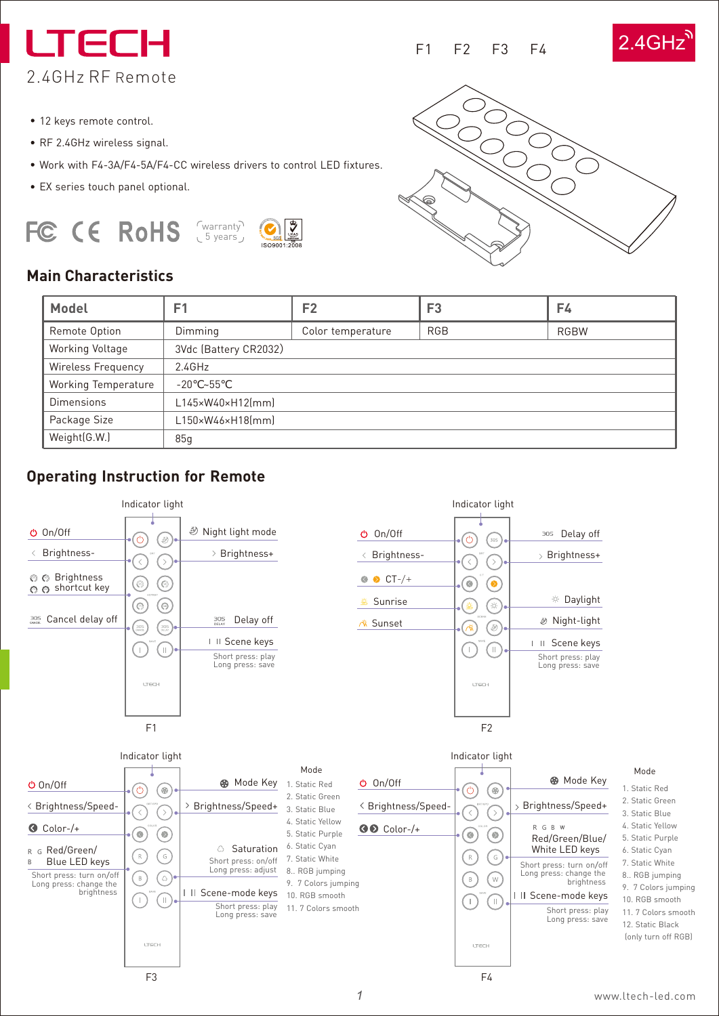I TECI 2.4GHz RF Remote

- 12 keys remote control.
- RF 2.4GHz wireless signal.
- Work with F4-3A/F4-5A/F4-CC wireless drivers to control LED fixtures.
- EX series touch panel optional.

#### FC CE RoHS warranty 5 years





F1 F2 F3 F4

2.4GHz

### **Main Characteristics**

| Model               | F1                    | F <sub>2</sub>    | F <sub>3</sub> | F4          |
|---------------------|-----------------------|-------------------|----------------|-------------|
| Remote Option       | Dimming               | Color temperature | <b>RGB</b>     | <b>RGBW</b> |
| Working Voltage     | 3Vdc (Battery CR2032) |                   |                |             |
| Wireless Frequency  | 2.4GHz                |                   |                |             |
| Working Temperature | $-20 - 55$            |                   |                |             |
| <b>Dimensions</b>   | L145×W40×H12(mm)      |                   |                |             |
| Package Size        | L150×W46×H18(mm)      |                   |                |             |
| Weight(G.W.)        | 85q                   |                   |                |             |

### **Operating Instruction for Remote**